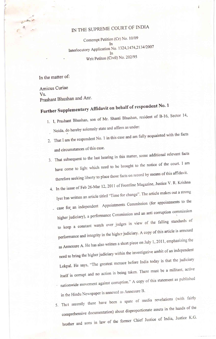## IN THE SLIPREME COURT OF INDIA

Contempt Petition (Cr) No. 10/09 In Interlocutory Application No. 1324,1474,2134/2007 ln Writ Petiton (Civil) No. 202/95

In the matter of:

Amicus Curiae Vs.<br>Prashant Bhushan and Anr.

## Further Supplementary Affidavit on behalf of respondent No. 1

1. I, Prashant Bhushan, son of Mr. Shanti Bhushan, resident of B-16, Sector 14,

Noida, do hereby solemnly state and affirm as under:

- 2. That I am the respondent No. 1 in this case and am fully acquainted with the facts and circumstances of this case.
- 3. That subsequent to the last hearing in this matter, some additional relevant facts have come to light which need to be brought to the notice of the court. I am therefore seeking liberty to place those facts on record by means of this affidavit.
- in the Hindu Newspaper is annexed as Annexure B. 4. In the issue of Feb 26-Mar 12, 2011 of Frontline Magazine, Justice V. R. Krishna lyer has written an article titled "Time for change". The article makes out a strong case for an independent Appointments Commission (for appointments to the higher judiciary), a performance Commission and an anti corruption commission to keep a constant watch over judges in view of the falling standards of performance and integrity in the highcr judiciary. A copy of this article is anncxed as Annexure A. He has also written a short piece on July 1, 2011, emphasizing the need to bring the higher judiciary within the investigative ambit of an independent Lokpal. He says, "The greatest menace before India today is that the judiciary itself is corrupt and no action is being taken. There must be a militant, active nationwide movement against corruption." A copy of this statement as published
	- Thet recently there have been a spate of media revelations (with fairly comprehensive documentation) about disproporti brother and sons in law of the former Chief onate assets in the hands of the Justice of India, Justice K.G.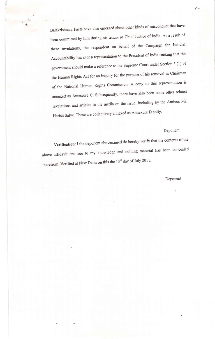Balakrishnan. Facts have also emerged about other kinds of misconduct that have been committed by him during his tenure as Chief Justice of India. As a result of these revelations, the respondent on behalf of the Campaign for Judicial Accountability has sent a representation to the President of India seeking that the government should make a reference to the Supreme Court under Section 5 (1) of the Human Rights Act for an inquiry for the purpose of his removal as Chairman of the National Human Rights Commission. A copy of this representation is annexed as Annexure C. Subsequently, there have also been some other related revelations and articles in the media on the issue, including by the Amicus Mr. Harish Salve. These are collectively annexed as Annexure D colly.

{

## Deponent

/-

Verification: I the deponent abovenamed do hereby verify that the contents of the above affidavit are true to my knowledge and nothing material has been concealed therefrom. Verified at New Delhi on this the  $13<sup>th</sup>$  day of July 2011.

Deponent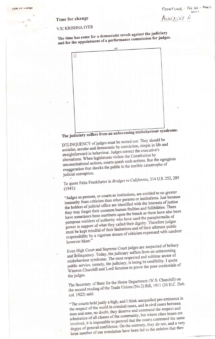FRONTLINE: Feb 26 - MARII  $2011$ ANNEXURE A

Time for change

V.R. KRISHNA IYER

The time has come for a democratic revolt against the judiciary and for the appointment of a performance commission for judges.



DELINQUENCY of judges must be rooted out. They should be socialist, secular and democratic by conviction, simple in life and straightforward in behaviour. Judges correct the executive's aberrations. When legislatures violate the Constitution by unconstitutional actions, courts quash such actions. But the egregious exaggeration that shocks the public is the terrible catastrophe of judicial corruption.

To quote Felix Frankfurter in Bridges vs California, 314 U.S. 252, 289  $(1941):$ 

"Judges as persons, or courts as institutions, are entitled to no greater immunity from criticism than other persons or institutions. Just because the holders of judicial office are identified with the interests of justice they may forget their common human frailties and fallibilities. There have sometimes been martinets upon the bench as there have also been pompous wielders of authority who have used the paraphernalia of power in support of what they called their dignity. Therefore judges must be kept mindful of their limitations and of their ultimate public responsibility by a vigorous stream of criticism expressed with candour however blunt."

Even High Court and Supreme Court judges are suspected of bribery and delinquency. Today, the judiciary suffers from an unbecoming misbehaviour syndrome. The most respected and sublime sector of public service, namely, the judiciary, is losing its credibility. I quote Winston Churchill and Lord Scrutton to prove the poor credentials of the judges.

The Secretary of State for the Home Department (W.S. Churchill) on the second reading of the Trade Unions (No.2) Bill, 1911 (26 H.C. Deb. col. 1922) said:

"The courts hold justly a high, and I think unequalled pre-eminence in the respect of the world in criminal cases, and in civil cases between man and man, no doubt, they deserve and command the respect and admiration of all classes of the community, but where class issues are involved, it is impossible to pretend that the courts command the same degree of general confidence. On the contrary, they do not, and a very large number of our population have been led to the opinion that they